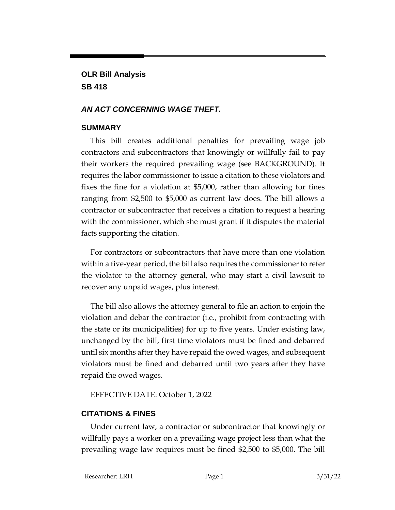# **OLR Bill Analysis SB 418**

### *AN ACT CONCERNING WAGE THEFT.*

#### **SUMMARY**

This bill creates additional penalties for prevailing wage job contractors and subcontractors that knowingly or willfully fail to pay their workers the required prevailing wage (see BACKGROUND). It requires the labor commissioner to issue a citation to these violators and fixes the fine for a violation at \$5,000, rather than allowing for fines ranging from \$2,500 to \$5,000 as current law does. The bill allows a contractor or subcontractor that receives a citation to request a hearing with the commissioner, which she must grant if it disputes the material facts supporting the citation.

For contractors or subcontractors that have more than one violation within a five-year period, the bill also requires the commissioner to refer the violator to the attorney general, who may start a civil lawsuit to recover any unpaid wages, plus interest.

The bill also allows the attorney general to file an action to enjoin the violation and debar the contractor (i.e., prohibit from contracting with the state or its municipalities) for up to five years. Under existing law, unchanged by the bill, first time violators must be fined and debarred until six months after they have repaid the owed wages, and subsequent violators must be fined and debarred until two years after they have repaid the owed wages.

## EFFECTIVE DATE: October 1, 2022

# **CITATIONS & FINES**

Under current law, a contractor or subcontractor that knowingly or willfully pays a worker on a prevailing wage project less than what the prevailing wage law requires must be fined \$2,500 to \$5,000. The bill